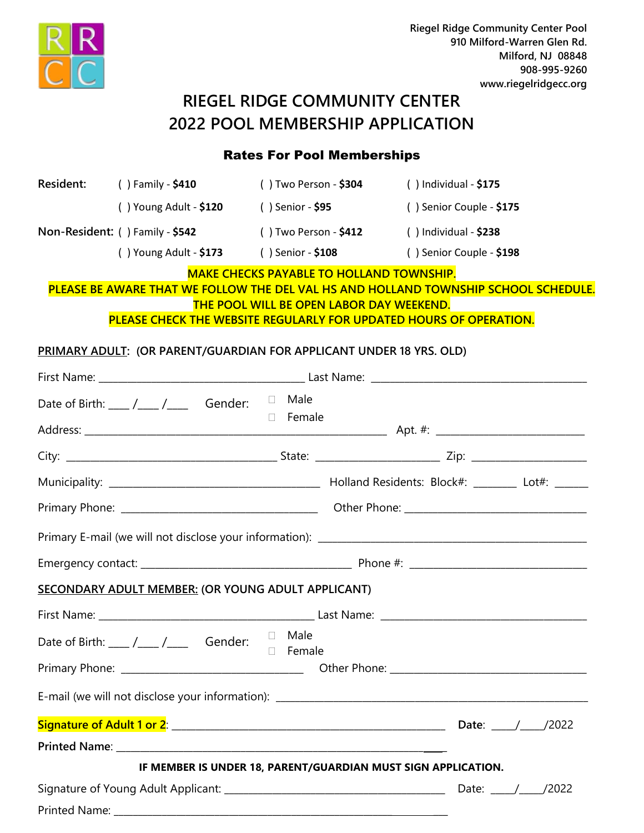

# **RIEGEL RIDGE COMMUNITY CENTER 2022 POOL MEMBERSHIP APPLICATION**

# Rates For Pool Memberships

|               | Resident: () Family - \$410                                                                                                                                                                                                                                                                                                                                                                               | ( ) Two Person - <b>\$304</b>                                               | $( )$ Individual - \$175                                                            |  |
|---------------|-----------------------------------------------------------------------------------------------------------------------------------------------------------------------------------------------------------------------------------------------------------------------------------------------------------------------------------------------------------------------------------------------------------|-----------------------------------------------------------------------------|-------------------------------------------------------------------------------------|--|
|               |                                                                                                                                                                                                                                                                                                                                                                                                           | () Young Adult - $$120$ () Senior - $$95$                                   | () Senior Couple - \$175                                                            |  |
|               |                                                                                                                                                                                                                                                                                                                                                                                                           | Non-Resident: () Family - \$542 () Two Person - \$412 () Individual - \$238 |                                                                                     |  |
|               |                                                                                                                                                                                                                                                                                                                                                                                                           | () Young Adult - \$173 () Senior - \$108 () Senior Couple - \$198           |                                                                                     |  |
|               |                                                                                                                                                                                                                                                                                                                                                                                                           | <b>MAKE CHECKS PAYABLE TO HOLLAND TOWNSHIP.</b>                             |                                                                                     |  |
|               |                                                                                                                                                                                                                                                                                                                                                                                                           | <b>THE POOL WILL BE OPEN LABOR DAY WEEKEND.</b>                             | PLEASE BE AWARE THAT WE FOLLOW THE DEL VAL HS AND HOLLAND TOWNSHIP SCHOOL SCHEDULE. |  |
|               |                                                                                                                                                                                                                                                                                                                                                                                                           |                                                                             | PLEASE CHECK THE WEBSITE REGULARLY FOR UPDATED HOURS OF OPERATION.                  |  |
|               |                                                                                                                                                                                                                                                                                                                                                                                                           | <b>PRIMARY ADULT: (OR PARENT/GUARDIAN FOR APPLICANT UNDER 18 YRS. OLD)</b>  |                                                                                     |  |
|               |                                                                                                                                                                                                                                                                                                                                                                                                           |                                                                             |                                                                                     |  |
|               | Date of Birth: $\frac{1}{\sqrt{1-\frac{1}{1-\frac{1}{1-\frac{1}{1-\frac{1}{1-\frac{1}{1-\frac{1}{1-\frac{1}{1-\frac{1}{1-\frac{1}{1-\frac{1}{1-\frac{1}{1-\frac{1}{1-\frac{1}{1-\frac{1}{1-\frac{1}{1-\frac{1}{1-\frac{1}{1-\frac{1}{1-\frac{1}{1-\frac{1}{1-\frac{1}{1-\frac{1}{1-\frac{1}{1-\frac{1}{1-\frac{1}{1-\frac{1}{1-\frac{1}{1-\frac{1}{1-\frac{1}{1-\frac{1}{1-\frac{1}{1-\frac{1}{1-\frac{1$ |                                                                             |                                                                                     |  |
|               |                                                                                                                                                                                                                                                                                                                                                                                                           | □ Female                                                                    |                                                                                     |  |
|               |                                                                                                                                                                                                                                                                                                                                                                                                           |                                                                             |                                                                                     |  |
|               |                                                                                                                                                                                                                                                                                                                                                                                                           |                                                                             |                                                                                     |  |
|               |                                                                                                                                                                                                                                                                                                                                                                                                           |                                                                             |                                                                                     |  |
|               |                                                                                                                                                                                                                                                                                                                                                                                                           |                                                                             |                                                                                     |  |
|               |                                                                                                                                                                                                                                                                                                                                                                                                           |                                                                             |                                                                                     |  |
|               | <b>SECONDARY ADULT MEMBER: (OR YOUNG ADULT APPLICANT)</b>                                                                                                                                                                                                                                                                                                                                                 |                                                                             |                                                                                     |  |
|               |                                                                                                                                                                                                                                                                                                                                                                                                           |                                                                             |                                                                                     |  |
|               | Date of Birth: ___ /___ /___ Gender: $\Box$ Male                                                                                                                                                                                                                                                                                                                                                          | <b>D</b> Female                                                             |                                                                                     |  |
|               |                                                                                                                                                                                                                                                                                                                                                                                                           |                                                                             |                                                                                     |  |
|               |                                                                                                                                                                                                                                                                                                                                                                                                           |                                                                             |                                                                                     |  |
|               |                                                                                                                                                                                                                                                                                                                                                                                                           |                                                                             |                                                                                     |  |
|               |                                                                                                                                                                                                                                                                                                                                                                                                           |                                                                             |                                                                                     |  |
|               |                                                                                                                                                                                                                                                                                                                                                                                                           | IF MEMBER IS UNDER 18, PARENT/GUARDIAN MUST SIGN APPLICATION.               |                                                                                     |  |
|               |                                                                                                                                                                                                                                                                                                                                                                                                           | Date: $\frac{1}{2022}$                                                      |                                                                                     |  |
| Printed Name: |                                                                                                                                                                                                                                                                                                                                                                                                           |                                                                             |                                                                                     |  |